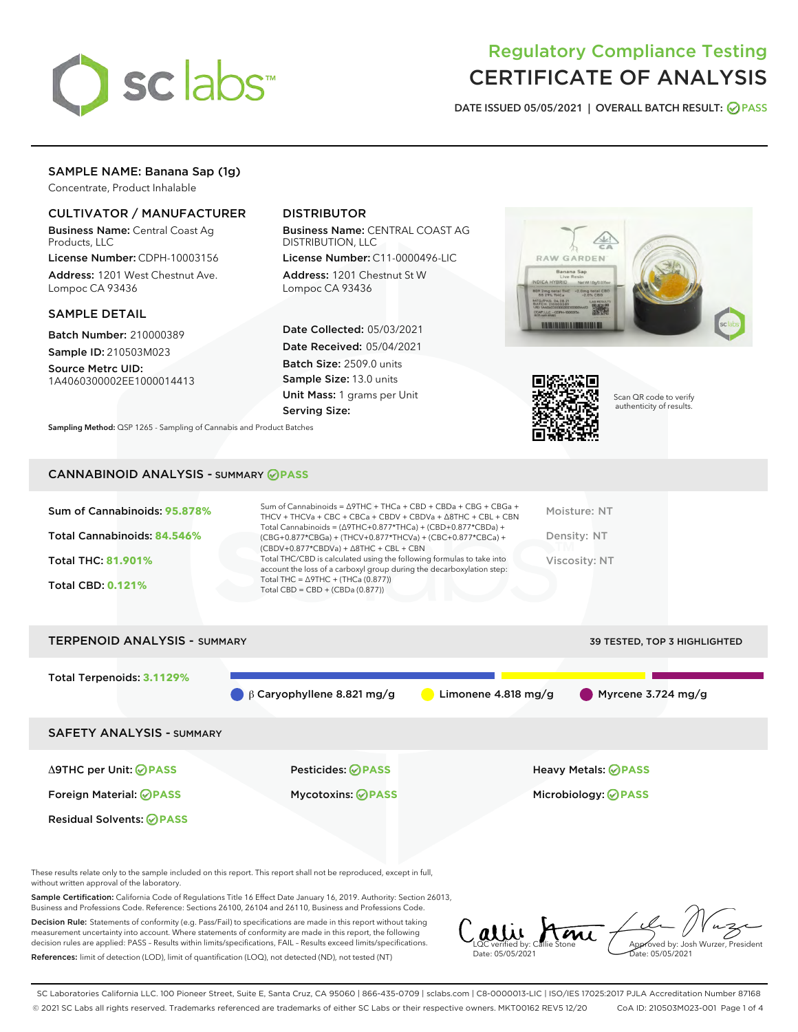

# Regulatory Compliance Testing CERTIFICATE OF ANALYSIS

DATE ISSUED 05/05/2021 | OVERALL BATCH RESULT: @ PASS

# SAMPLE NAME: Banana Sap (1g)

Concentrate, Product Inhalable

## CULTIVATOR / MANUFACTURER

Business Name: Central Coast Ag Products, LLC

License Number: CDPH-10003156 Address: 1201 West Chestnut Ave. Lompoc CA 93436

## SAMPLE DETAIL

Batch Number: 210000389 Sample ID: 210503M023

Source Metrc UID: 1A4060300002EE1000014413

## DISTRIBUTOR

Business Name: CENTRAL COAST AG DISTRIBUTION, LLC

License Number: C11-0000496-LIC Address: 1201 Chestnut St W Lompoc CA 93436

Date Collected: 05/03/2021 Date Received: 05/04/2021 Batch Size: 2509.0 units Sample Size: 13.0 units Unit Mass: 1 grams per Unit Serving Size:





Scan QR code to verify authenticity of results.

Sampling Method: QSP 1265 - Sampling of Cannabis and Product Batches

## CANNABINOID ANALYSIS - SUMMARY **PASS**

| $(CBDV+0.877*CBDVa) + \Delta 8THC + CBL + CBN$<br>Total THC/CBD is calculated using the following formulas to take into<br><b>Total THC: 81.901%</b><br>Viscosity: NT<br>account the loss of a carboxyl group during the decarboxylation step:<br>Total THC = $\triangle$ 9THC + (THCa (0.877))<br><b>Total CBD: 0.121%</b><br>Total CBD = $CBD + (CBDa (0.877))$ | Sum of Cannabinoids: 95.878% | Sum of Cannabinoids = $\triangle$ 9THC + THCa + CBD + CBDa + CBG + CBGa +<br>THCV + THCVa + CBC + CBCa + CBDV + CBDVa + $\land$ 8THC + CBL + CBN<br>Total Cannabinoids = $(\Delta$ 9THC+0.877*THCa) + (CBD+0.877*CBDa) + | Moisture: NT |
|-------------------------------------------------------------------------------------------------------------------------------------------------------------------------------------------------------------------------------------------------------------------------------------------------------------------------------------------------------------------|------------------------------|--------------------------------------------------------------------------------------------------------------------------------------------------------------------------------------------------------------------------|--------------|
|                                                                                                                                                                                                                                                                                                                                                                   | Total Cannabinoids: 84.546%  | (CBG+0.877*CBGa) + (THCV+0.877*THCVa) + (CBC+0.877*CBCa) +                                                                                                                                                               | Density: NT  |
|                                                                                                                                                                                                                                                                                                                                                                   |                              |                                                                                                                                                                                                                          |              |
|                                                                                                                                                                                                                                                                                                                                                                   |                              |                                                                                                                                                                                                                          |              |



These results relate only to the sample included on this report. This report shall not be reproduced, except in full, without written approval of the laboratory.

Sample Certification: California Code of Regulations Title 16 Effect Date January 16, 2019. Authority: Section 26013, Business and Professions Code. Reference: Sections 26100, 26104 and 26110, Business and Professions Code.

Decision Rule: Statements of conformity (e.g. Pass/Fail) to specifications are made in this report without taking measurement uncertainty into account. Where statements of conformity are made in this report, the following decision rules are applied: PASS – Results within limits/specifications, FAIL – Results exceed limits/specifications. References: limit of detection (LOD), limit of quantification (LOQ), not detected (ND), not tested (NT)

LQC verified by: Callie Stone Date: 05/05/2021 Aved by: Josh Wurzer, President Date: 05/05/2021

SC Laboratories California LLC. 100 Pioneer Street, Suite E, Santa Cruz, CA 95060 | 866-435-0709 | sclabs.com | C8-0000013-LIC | ISO/IES 17025:2017 PJLA Accreditation Number 87168 © 2021 SC Labs all rights reserved. Trademarks referenced are trademarks of either SC Labs or their respective owners. MKT00162 REV5 12/20 CoA ID: 210503M023-001 Page 1 of 4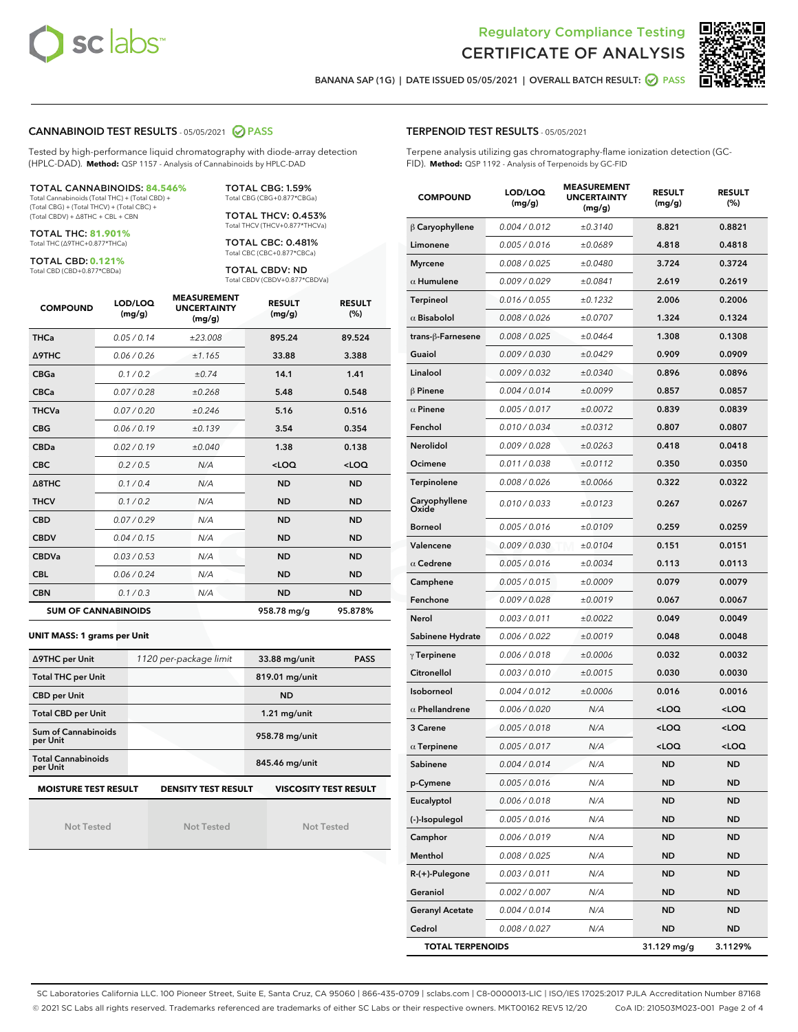



BANANA SAP (1G) | DATE ISSUED 05/05/2021 | OVERALL BATCH RESULT: @ PASS

## CANNABINOID TEST RESULTS - 05/05/2021 2 PASS

Tested by high-performance liquid chromatography with diode-array detection (HPLC-DAD). **Method:** QSP 1157 - Analysis of Cannabinoids by HPLC-DAD

#### TOTAL CANNABINOIDS: **84.546%**

Total Cannabinoids (Total THC) + (Total CBD) + (Total CBG) + (Total THCV) + (Total CBC) + (Total CBDV) + ∆8THC + CBL + CBN

TOTAL THC: **81.901%** Total THC (∆9THC+0.877\*THCa)

TOTAL CBD: **0.121%**

Total CBD (CBD+0.877\*CBDa)

TOTAL CBG: 1.59% Total CBG (CBG+0.877\*CBGa) TOTAL THCV: 0.453%

Total THCV (THCV+0.877\*THCVa)

TOTAL CBC: 0.481% Total CBC (CBC+0.877\*CBCa)

TOTAL CBDV: ND Total CBDV (CBDV+0.877\*CBDVa)

| <b>COMPOUND</b>  | LOD/LOQ<br>(mg/g)          | <b>MEASUREMENT</b><br><b>UNCERTAINTY</b><br>(mg/g) | <b>RESULT</b><br>(mg/g) | <b>RESULT</b><br>(%) |
|------------------|----------------------------|----------------------------------------------------|-------------------------|----------------------|
| <b>THCa</b>      | 0.05/0.14                  | ±23.008                                            | 895.24                  | 89.524               |
| <b>A9THC</b>     | 0.06 / 0.26                | ±1.165                                             | 33.88                   | 3.388                |
| <b>CBGa</b>      | 0.1/0.2                    | ±0.74                                              | 14.1                    | 1.41                 |
| <b>CBCa</b>      | 0.07/0.28                  | ±0.268                                             | 5.48                    | 0.548                |
| <b>THCVa</b>     | 0.07/0.20                  | ±0.246                                             | 5.16                    | 0.516                |
| <b>CBG</b>       | 0.06/0.19                  | ±0.139                                             | 3.54                    | 0.354                |
| <b>CBDa</b>      | 0.02/0.19                  | ±0.040                                             | 1.38                    | 0.138                |
| <b>CBC</b>       | 0.2 / 0.5                  | N/A                                                | $<$ LOQ                 | $<$ LOQ              |
| $\triangle$ 8THC | 0.1/0.4                    | N/A                                                | <b>ND</b>               | <b>ND</b>            |
| <b>THCV</b>      | 0.1/0.2                    | N/A                                                | <b>ND</b>               | <b>ND</b>            |
| <b>CBD</b>       | 0.07/0.29                  | N/A                                                | <b>ND</b>               | <b>ND</b>            |
| <b>CBDV</b>      | 0.04/0.15                  | N/A                                                | <b>ND</b>               | <b>ND</b>            |
| <b>CBDVa</b>     | 0.03/0.53                  | N/A                                                | <b>ND</b>               | <b>ND</b>            |
| <b>CBL</b>       | 0.06 / 0.24                | N/A                                                | <b>ND</b>               | <b>ND</b>            |
| <b>CBN</b>       | 0.1/0.3                    | N/A                                                | <b>ND</b>               | <b>ND</b>            |
|                  | <b>SUM OF CANNABINOIDS</b> |                                                    | 958.78 mg/g             | 95.878%              |

#### **UNIT MASS: 1 grams per Unit**

| ∆9THC per Unit                        | 1120 per-package limit     | 33.88 mg/unit<br><b>PASS</b> |
|---------------------------------------|----------------------------|------------------------------|
| <b>Total THC per Unit</b>             |                            | 819.01 mg/unit               |
| <b>CBD per Unit</b>                   |                            | <b>ND</b>                    |
| <b>Total CBD per Unit</b>             |                            | $1.21$ mg/unit               |
| Sum of Cannabinoids<br>per Unit       |                            | 958.78 mg/unit               |
| <b>Total Cannabinoids</b><br>per Unit |                            | 845.46 mg/unit               |
| <b>MOISTURE TEST RESULT</b>           | <b>DENSITY TEST RESULT</b> | VISCOSITY TEST RESULT        |

Not Tested

Not Tested

Not Tested

## TERPENOID TEST RESULTS - 05/05/2021

Terpene analysis utilizing gas chromatography-flame ionization detection (GC-FID). **Method:** QSP 1192 - Analysis of Terpenoids by GC-FID

| <b>COMPOUND</b>         | LOD/LOQ<br>(mg/g) | <b>MEASUREMENT</b><br><b>UNCERTAINTY</b><br>(mg/g) | <b>RESULT</b><br>(mg/g)                          | <b>RESULT</b><br>$(\%)$ |
|-------------------------|-------------------|----------------------------------------------------|--------------------------------------------------|-------------------------|
| $\beta$ Caryophyllene   | 0.004 / 0.012     | ±0.3140                                            | 8.821                                            | 0.8821                  |
| Limonene                | 0.005 / 0.016     | ±0.0689                                            | 4.818                                            | 0.4818                  |
| <b>Myrcene</b>          | 0.008 / 0.025     | ±0.0480                                            | 3.724                                            | 0.3724                  |
| $\alpha$ Humulene       | 0.009/0.029       | ±0.0841                                            | 2.619                                            | 0.2619                  |
| <b>Terpineol</b>        | 0.016 / 0.055     | ±0.1232                                            | 2.006                                            | 0.2006                  |
| $\alpha$ Bisabolol      | 0.008 / 0.026     | ±0.0707                                            | 1.324                                            | 0.1324                  |
| trans-ß-Farnesene       | 0.008 / 0.025     | ±0.0464                                            | 1.308                                            | 0.1308                  |
| Guaiol                  | 0.009 / 0.030     | ±0.0429                                            | 0.909                                            | 0.0909                  |
| Linalool                | 0.009 / 0.032     | ±0.0340                                            | 0.896                                            | 0.0896                  |
| $\beta$ Pinene          | 0.004 / 0.014     | ±0.0099                                            | 0.857                                            | 0.0857                  |
| $\alpha$ Pinene         | 0.005 / 0.017     | ±0.0072                                            | 0.839                                            | 0.0839                  |
| Fenchol                 | 0.010 / 0.034     | ±0.0312                                            | 0.807                                            | 0.0807                  |
| Nerolidol               | 0.009 / 0.028     | ±0.0263                                            | 0.418                                            | 0.0418                  |
| Ocimene                 | 0.011 / 0.038     | ±0.0112                                            | 0.350                                            | 0.0350                  |
| Terpinolene             | 0.008 / 0.026     | ±0.0066                                            | 0.322                                            | 0.0322                  |
| Caryophyllene<br>Oxide  | 0.010 / 0.033     | ±0.0123                                            | 0.267                                            | 0.0267                  |
| <b>Borneol</b>          | 0.005 / 0.016     | ±0.0109                                            | 0.259                                            | 0.0259                  |
| Valencene               | 0.009 / 0.030     | ±0.0104                                            | 0.151                                            | 0.0151                  |
| $\alpha$ Cedrene        | 0.005 / 0.016     | ±0.0034                                            | 0.113                                            | 0.0113                  |
| Camphene                | 0.005 / 0.015     | ±0.0009                                            | 0.079                                            | 0.0079                  |
| Fenchone                | 0.009 / 0.028     | ±0.0019                                            | 0.067                                            | 0.0067                  |
| Nerol                   | 0.003 / 0.011     | ±0.0022                                            | 0.049                                            | 0.0049                  |
| Sabinene Hydrate        | 0.006 / 0.022     | ±0.0019                                            | 0.048                                            | 0.0048                  |
| $\gamma$ Terpinene      | 0.006 / 0.018     | ±0.0006                                            | 0.032                                            | 0.0032                  |
| Citronellol             | 0.003 / 0.010     | ±0.0015                                            | 0.030                                            | 0.0030                  |
| Isoborneol              | 0.004 / 0.012     | ±0.0006                                            | 0.016                                            | 0.0016                  |
| $\alpha$ Phellandrene   | 0.006 / 0.020     | N/A                                                | <loq< th=""><th><math>&lt;</math>LOQ</th></loq<> | $<$ LOQ                 |
| 3 Carene                | 0.005 / 0.018     | N/A                                                | <loq< th=""><th><loq< th=""></loq<></th></loq<>  | <loq< th=""></loq<>     |
| $\alpha$ Terpinene      | 0.005 / 0.017     | N/A                                                | <loq< th=""><th><loq< th=""></loq<></th></loq<>  | <loq< th=""></loq<>     |
| Sabinene                | 0.004 / 0.014     | N/A                                                | ND                                               | ND                      |
| p-Cymene                | 0.005 / 0.016     | N/A                                                | ND                                               | ND                      |
| Eucalyptol              | 0.006 / 0.018     | N/A                                                | ND                                               | ND                      |
| (-)-Isopulegol          | 0.005 / 0.016     | N/A                                                | ND                                               | ND                      |
| Camphor                 | 0.006 / 0.019     | N/A                                                | ND                                               | <b>ND</b>               |
| Menthol                 | 0.008 / 0.025     | N/A                                                | ND                                               | ND                      |
| R-(+)-Pulegone          | 0.003 / 0.011     | N/A                                                | ND                                               | ND                      |
| Geraniol                | 0.002 / 0.007     | N/A                                                | ND                                               | <b>ND</b>               |
| <b>Geranyl Acetate</b>  | 0.004 / 0.014     | N/A                                                | ND                                               | ND                      |
| Cedrol                  | 0.008 / 0.027     | N/A                                                | <b>ND</b>                                        | ND                      |
| <b>TOTAL TERPENOIDS</b> |                   |                                                    | 31.129 mg/g                                      | 3.1129%                 |

SC Laboratories California LLC. 100 Pioneer Street, Suite E, Santa Cruz, CA 95060 | 866-435-0709 | sclabs.com | C8-0000013-LIC | ISO/IES 17025:2017 PJLA Accreditation Number 87168 © 2021 SC Labs all rights reserved. Trademarks referenced are trademarks of either SC Labs or their respective owners. MKT00162 REV5 12/20 CoA ID: 210503M023-001 Page 2 of 4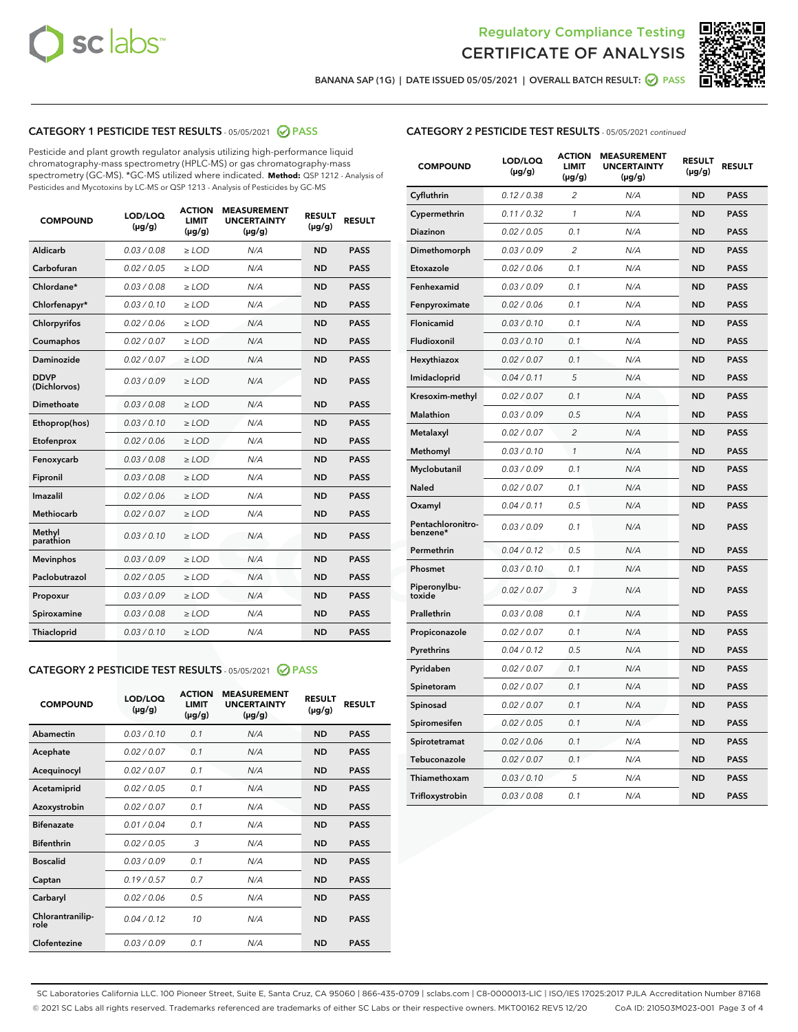



BANANA SAP (1G) | DATE ISSUED 05/05/2021 | OVERALL BATCH RESULT: 2 PASS

## CATEGORY 1 PESTICIDE TEST RESULTS - 05/05/2021 2 PASS

Pesticide and plant growth regulator analysis utilizing high-performance liquid chromatography-mass spectrometry (HPLC-MS) or gas chromatography-mass spectrometry (GC-MS). \*GC-MS utilized where indicated. **Method:** QSP 1212 - Analysis of Pesticides and Mycotoxins by LC-MS or QSP 1213 - Analysis of Pesticides by GC-MS

| <b>COMPOUND</b>             | LOD/LOQ<br>$(\mu g/g)$ | <b>ACTION</b><br><b>LIMIT</b><br>$(\mu q/q)$ | <b>MEASUREMENT</b><br><b>UNCERTAINTY</b><br>$(\mu g/g)$ | <b>RESULT</b><br>$(\mu g/g)$ | <b>RESULT</b> |
|-----------------------------|------------------------|----------------------------------------------|---------------------------------------------------------|------------------------------|---------------|
| Aldicarb                    | 0.03 / 0.08            | $\ge$ LOD                                    | N/A                                                     | <b>ND</b>                    | <b>PASS</b>   |
| Carbofuran                  | 0.02 / 0.05            | $\ge$ LOD                                    | N/A                                                     | <b>ND</b>                    | <b>PASS</b>   |
| Chlordane*                  | 0.03 / 0.08            | $\ge$ LOD                                    | N/A                                                     | <b>ND</b>                    | <b>PASS</b>   |
| Chlorfenapyr*               | 0.03/0.10              | $\ge$ LOD                                    | N/A                                                     | <b>ND</b>                    | <b>PASS</b>   |
| Chlorpyrifos                | 0.02 / 0.06            | $\ge$ LOD                                    | N/A                                                     | <b>ND</b>                    | <b>PASS</b>   |
| Coumaphos                   | 0.02 / 0.07            | $\ge$ LOD                                    | N/A                                                     | <b>ND</b>                    | <b>PASS</b>   |
| Daminozide                  | 0.02 / 0.07            | $\ge$ LOD                                    | N/A                                                     | <b>ND</b>                    | <b>PASS</b>   |
| <b>DDVP</b><br>(Dichlorvos) | 0.03/0.09              | $>$ LOD                                      | N/A                                                     | <b>ND</b>                    | <b>PASS</b>   |
| Dimethoate                  | 0.03 / 0.08            | $\ge$ LOD                                    | N/A                                                     | <b>ND</b>                    | <b>PASS</b>   |
| Ethoprop(hos)               | 0.03/0.10              | $\ge$ LOD                                    | N/A                                                     | <b>ND</b>                    | <b>PASS</b>   |
| Etofenprox                  | 0.02/0.06              | $>$ LOD                                      | N/A                                                     | <b>ND</b>                    | <b>PASS</b>   |
| Fenoxycarb                  | 0.03 / 0.08            | $\ge$ LOD                                    | N/A                                                     | <b>ND</b>                    | <b>PASS</b>   |
| Fipronil                    | 0.03/0.08              | $>$ LOD                                      | N/A                                                     | <b>ND</b>                    | <b>PASS</b>   |
| Imazalil                    | 0.02 / 0.06            | $\ge$ LOD                                    | N/A                                                     | <b>ND</b>                    | <b>PASS</b>   |
| Methiocarb                  | 0.02 / 0.07            | $\ge$ LOD                                    | N/A                                                     | <b>ND</b>                    | <b>PASS</b>   |
| Methyl<br>parathion         | 0.03/0.10              | $>$ LOD                                      | N/A                                                     | <b>ND</b>                    | <b>PASS</b>   |
| <b>Mevinphos</b>            | 0.03/0.09              | $>$ LOD                                      | N/A                                                     | <b>ND</b>                    | <b>PASS</b>   |
| Paclobutrazol               | 0.02 / 0.05            | $\ge$ LOD                                    | N/A                                                     | <b>ND</b>                    | <b>PASS</b>   |
| Propoxur                    | 0.03 / 0.09            | $\ge$ LOD                                    | N/A                                                     | <b>ND</b>                    | <b>PASS</b>   |
| Spiroxamine                 | 0.03 / 0.08            | $\ge$ LOD                                    | N/A                                                     | <b>ND</b>                    | <b>PASS</b>   |
| Thiacloprid                 | 0.03/0.10              | $\ge$ LOD                                    | N/A                                                     | <b>ND</b>                    | <b>PASS</b>   |

#### CATEGORY 2 PESTICIDE TEST RESULTS - 05/05/2021 @ PASS

| <b>COMPOUND</b>          | LOD/LOO<br>$(\mu g/g)$ | <b>ACTION</b><br>LIMIT<br>$(\mu g/g)$ | <b>MEASUREMENT</b><br><b>UNCERTAINTY</b><br>$(\mu g/g)$ | <b>RESULT</b><br>$(\mu g/g)$ | <b>RESULT</b> |
|--------------------------|------------------------|---------------------------------------|---------------------------------------------------------|------------------------------|---------------|
| Abamectin                | 0.03/0.10              | 0.1                                   | N/A                                                     | <b>ND</b>                    | <b>PASS</b>   |
| Acephate                 | 0.02/0.07              | 0.1                                   | N/A                                                     | <b>ND</b>                    | <b>PASS</b>   |
| Acequinocyl              | 0.02/0.07              | 0.1                                   | N/A                                                     | <b>ND</b>                    | <b>PASS</b>   |
| Acetamiprid              | 0.02/0.05              | 0.1                                   | N/A                                                     | <b>ND</b>                    | <b>PASS</b>   |
| Azoxystrobin             | 0.02/0.07              | 0.1                                   | N/A                                                     | <b>ND</b>                    | <b>PASS</b>   |
| <b>Bifenazate</b>        | 0.01/0.04              | 0.1                                   | N/A                                                     | <b>ND</b>                    | <b>PASS</b>   |
| <b>Bifenthrin</b>        | 0.02/0.05              | 3                                     | N/A                                                     | <b>ND</b>                    | <b>PASS</b>   |
| <b>Boscalid</b>          | 0.03/0.09              | 0.1                                   | N/A                                                     | <b>ND</b>                    | <b>PASS</b>   |
| Captan                   | 0.19/0.57              | 0.7                                   | N/A                                                     | <b>ND</b>                    | <b>PASS</b>   |
| Carbaryl                 | 0.02/0.06              | 0.5                                   | N/A                                                     | <b>ND</b>                    | <b>PASS</b>   |
| Chlorantranilip-<br>role | 0.04/0.12              | 10                                    | N/A                                                     | <b>ND</b>                    | <b>PASS</b>   |
| Clofentezine             | 0.03/0.09              | 0.1                                   | N/A                                                     | <b>ND</b>                    | <b>PASS</b>   |

## CATEGORY 2 PESTICIDE TEST RESULTS - 05/05/2021 continued

| <b>COMPOUND</b>               | LOD/LOQ<br>(µg/g) | <b>ACTION</b><br><b>LIMIT</b><br>$(\mu g/g)$ | <b>MEASUREMENT</b><br><b>UNCERTAINTY</b><br>$(\mu g/g)$ | <b>RESULT</b><br>(µg/g) | <b>RESULT</b> |
|-------------------------------|-------------------|----------------------------------------------|---------------------------------------------------------|-------------------------|---------------|
| Cyfluthrin                    | 0.12 / 0.38       | $\overline{c}$                               | N/A                                                     | ND                      | <b>PASS</b>   |
| Cypermethrin                  | 0.11 / 0.32       | $\mathcal{I}$                                | N/A                                                     | ND                      | <b>PASS</b>   |
| <b>Diazinon</b>               | 0.02 / 0.05       | 0.1                                          | N/A                                                     | <b>ND</b>               | <b>PASS</b>   |
| Dimethomorph                  | 0.03 / 0.09       | 2                                            | N/A                                                     | ND                      | <b>PASS</b>   |
| Etoxazole                     | 0.02 / 0.06       | 0.1                                          | N/A                                                     | ND                      | <b>PASS</b>   |
| Fenhexamid                    | 0.03 / 0.09       | 0.1                                          | N/A                                                     | ND                      | <b>PASS</b>   |
| Fenpyroximate                 | 0.02 / 0.06       | 0.1                                          | N/A                                                     | <b>ND</b>               | <b>PASS</b>   |
| Flonicamid                    | 0.03 / 0.10       | 0.1                                          | N/A                                                     | ND                      | <b>PASS</b>   |
| Fludioxonil                   | 0.03 / 0.10       | 0.1                                          | N/A                                                     | ND                      | <b>PASS</b>   |
| Hexythiazox                   | 0.02 / 0.07       | 0.1                                          | N/A                                                     | ND                      | <b>PASS</b>   |
| Imidacloprid                  | 0.04 / 0.11       | 5                                            | N/A                                                     | ND                      | <b>PASS</b>   |
| Kresoxim-methyl               | 0.02 / 0.07       | 0.1                                          | N/A                                                     | ND                      | <b>PASS</b>   |
| Malathion                     | 0.03 / 0.09       | 0.5                                          | N/A                                                     | <b>ND</b>               | <b>PASS</b>   |
| Metalaxyl                     | 0.02 / 0.07       | $\overline{c}$                               | N/A                                                     | ND                      | <b>PASS</b>   |
| Methomyl                      | 0.03 / 0.10       | 1                                            | N/A                                                     | ND                      | <b>PASS</b>   |
| Myclobutanil                  | 0.03 / 0.09       | 0.1                                          | N/A                                                     | <b>ND</b>               | <b>PASS</b>   |
| Naled                         | 0.02 / 0.07       | 0.1                                          | N/A                                                     | ND                      | <b>PASS</b>   |
| Oxamyl                        | 0.04 / 0.11       | 0.5                                          | N/A                                                     | ND                      | <b>PASS</b>   |
| Pentachloronitro-<br>benzene* | 0.03 / 0.09       | 0.1                                          | N/A                                                     | ND                      | <b>PASS</b>   |
| Permethrin                    | 0.04 / 0.12       | 0.5                                          | N/A                                                     | ND                      | <b>PASS</b>   |
| Phosmet                       | 0.03 / 0.10       | 0.1                                          | N/A                                                     | ND                      | <b>PASS</b>   |
| Piperonylbu-<br>toxide        | 0.02 / 0.07       | 3                                            | N/A                                                     | ND                      | <b>PASS</b>   |
| Prallethrin                   | 0.03 / 0.08       | 0.1                                          | N/A                                                     | ND                      | <b>PASS</b>   |
| Propiconazole                 | 0.02 / 0.07       | 0.1                                          | N/A                                                     | ND                      | <b>PASS</b>   |
| Pyrethrins                    | 0.04 / 0.12       | 0.5                                          | N/A                                                     | ND                      | <b>PASS</b>   |
| Pyridaben                     | 0.02 / 0.07       | 0.1                                          | N/A                                                     | <b>ND</b>               | <b>PASS</b>   |
| Spinetoram                    | 0.02 / 0.07       | 0.1                                          | N/A                                                     | ND                      | <b>PASS</b>   |
| Spinosad                      | 0.02 / 0.07       | 0.1                                          | N/A                                                     | ND                      | <b>PASS</b>   |
| Spiromesifen                  | 0.02 / 0.05       | 0.1                                          | N/A                                                     | <b>ND</b>               | <b>PASS</b>   |
| Spirotetramat                 | 0.02 / 0.06       | 0.1                                          | N/A                                                     | ND                      | <b>PASS</b>   |
| Tebuconazole                  | 0.02 / 0.07       | 0.1                                          | N/A                                                     | ND                      | <b>PASS</b>   |
| Thiamethoxam                  | 0.03 / 0.10       | 5                                            | N/A                                                     | <b>ND</b>               | <b>PASS</b>   |
| Trifloxystrobin               | 0.03 / 0.08       | 0.1                                          | N/A                                                     | <b>ND</b>               | <b>PASS</b>   |

SC Laboratories California LLC. 100 Pioneer Street, Suite E, Santa Cruz, CA 95060 | 866-435-0709 | sclabs.com | C8-0000013-LIC | ISO/IES 17025:2017 PJLA Accreditation Number 87168 © 2021 SC Labs all rights reserved. Trademarks referenced are trademarks of either SC Labs or their respective owners. MKT00162 REV5 12/20 CoA ID: 210503M023-001 Page 3 of 4